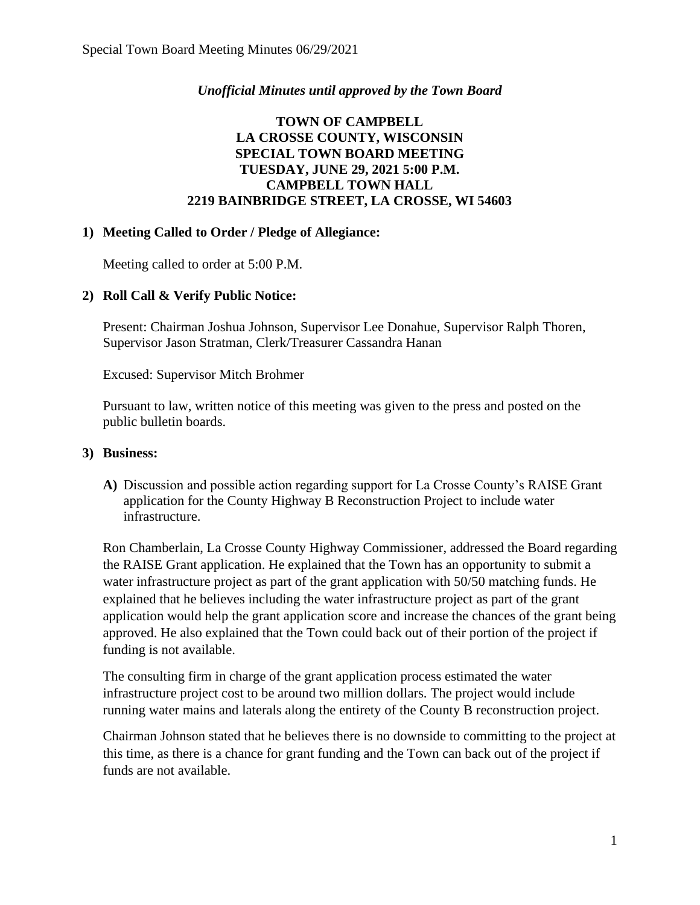### *Unofficial Minutes until approved by the Town Board*

## **TOWN OF CAMPBELL LA CROSSE COUNTY, WISCONSIN SPECIAL TOWN BOARD MEETING TUESDAY, JUNE 29, 2021 5:00 P.M. CAMPBELL TOWN HALL 2219 BAINBRIDGE STREET, LA CROSSE, WI 54603**

#### **1) Meeting Called to Order / Pledge of Allegiance:**

Meeting called to order at 5:00 P.M.

### **2) Roll Call & Verify Public Notice:**

Present: Chairman Joshua Johnson, Supervisor Lee Donahue, Supervisor Ralph Thoren, Supervisor Jason Stratman, Clerk/Treasurer Cassandra Hanan

Excused: Supervisor Mitch Brohmer

Pursuant to law, written notice of this meeting was given to the press and posted on the public bulletin boards.

#### **3) Business:**

**A)** Discussion and possible action regarding support for La Crosse County's RAISE Grant application for the County Highway B Reconstruction Project to include water infrastructure.

Ron Chamberlain, La Crosse County Highway Commissioner, addressed the Board regarding the RAISE Grant application. He explained that the Town has an opportunity to submit a water infrastructure project as part of the grant application with 50/50 matching funds. He explained that he believes including the water infrastructure project as part of the grant application would help the grant application score and increase the chances of the grant being approved. He also explained that the Town could back out of their portion of the project if funding is not available.

The consulting firm in charge of the grant application process estimated the water infrastructure project cost to be around two million dollars. The project would include running water mains and laterals along the entirety of the County B reconstruction project.

Chairman Johnson stated that he believes there is no downside to committing to the project at this time, as there is a chance for grant funding and the Town can back out of the project if funds are not available.